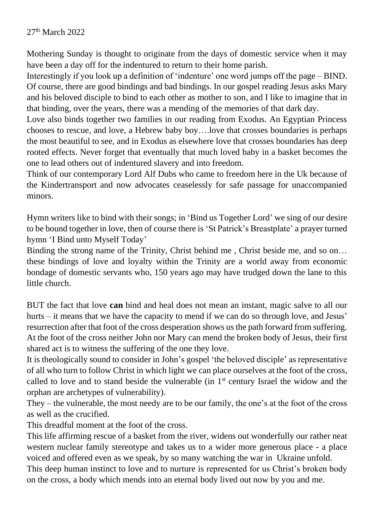27th March 2022

Mothering Sunday is thought to originate from the days of domestic service when it may have been a day off for the indentured to return to their home parish.

Interestingly if you look up a definition of 'indenture' one word jumps off the page – BIND. Of course, there are good bindings and bad bindings. In our gospel reading Jesus asks Mary and his beloved disciple to bind to each other as mother to son, and I like to imagine that in that binding, over the years, there was a mending of the memories of that dark day.

Love also binds together two families in our reading from Exodus. An Egyptian Princess chooses to rescue, and love, a Hebrew baby boy….love that crosses boundaries is perhaps the most beautiful to see, and in Exodus as elsewhere love that crosses boundaries has deep rooted effects. Never forget that eventually that much loved baby in a basket becomes the one to lead others out of indentured slavery and into freedom.

Think of our contemporary Lord Alf Dubs who came to freedom here in the Uk because of the Kindertransport and now advocates ceaselessly for safe passage for unaccompanied minors.

Hymn writers like to bind with their songs; in 'Bind us Together Lord' we sing of our desire to be bound together in love, then of course there is 'St Patrick's Breastplate' a prayer turned hymn 'I Bind unto Myself Today'

Binding the strong name of the Trinity, Christ behind me, Christ beside me, and so on... these bindings of love and loyalty within the Trinity are a world away from economic bondage of domestic servants who, 150 years ago may have trudged down the lane to this little church.

BUT the fact that love **can** bind and heal does not mean an instant, magic salve to all our hurts – it means that we have the capacity to mend if we can do so through love, and Jesus' resurrection after that foot of the cross desperation shows us the path forward from suffering. At the foot of the cross neither John nor Mary can mend the broken body of Jesus, their first shared act is to witness the suffering of the one they love.

It is theologically sound to consider in John's gospel 'the beloved disciple' as representative of all who turn to follow Christ in which light we can place ourselves at the foot of the cross, called to love and to stand beside the vulnerable (in  $1<sup>st</sup>$  century Israel the widow and the orphan are archetypes of vulnerability).

They – the vulnerable, the most needy are to be our family, the one's at the foot of the cross as well as the crucified.

This dreadful moment at the foot of the cross.

This life affirming rescue of a basket from the river, widens out wonderfully our rather neat western nuclear family stereotype and takes us to a wider more generous place - a place voiced and offered even as we speak, by so many watching the war in Ukraine unfold. This deep human instinct to love and to nurture is represented for us Christ's broken body on the cross, a body which mends into an eternal body lived out now by you and me.